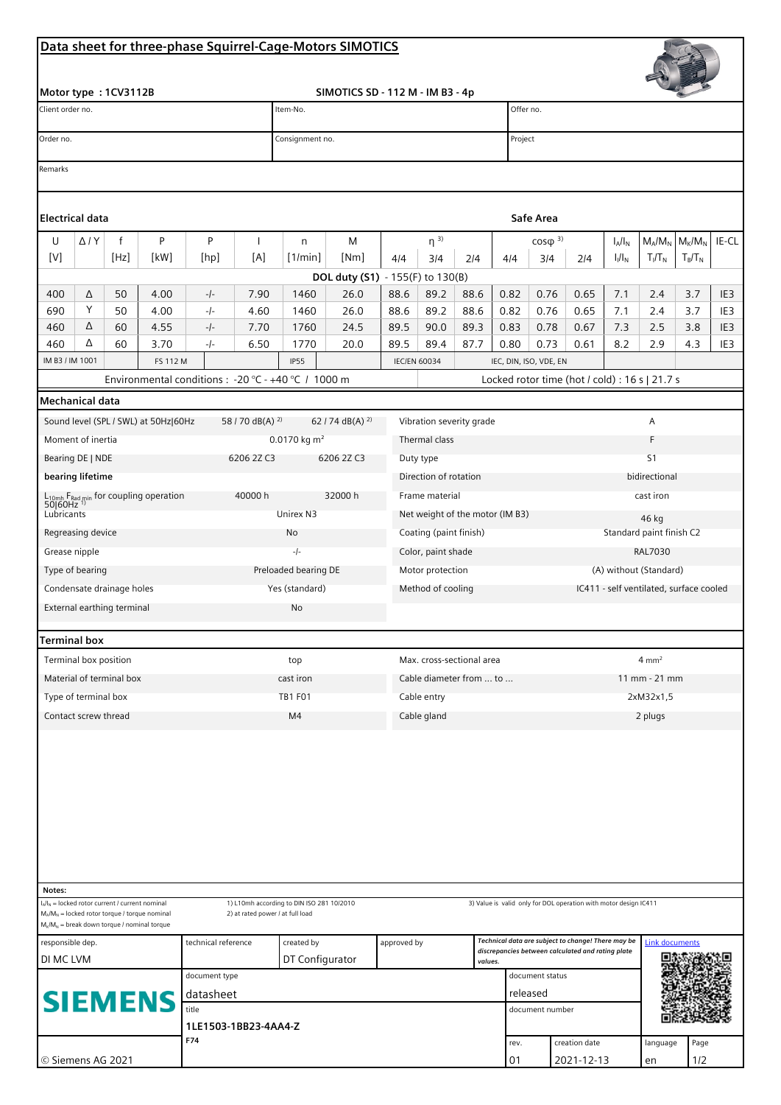## **Data sheet for three-phase Squirrel-Cage-Motors SIMOTICS**

| SIMOTICS SD - 112 M - IM B3 - 4p<br>Motor type: 1CV3112B<br>Client order no.<br>Item-No.<br>Offer no.<br>Order no.<br>Project<br>Consignment no.<br>Remarks<br><b>Electrical data</b><br>Safe Area<br>$\rm M_{K}/M_{N}$<br>IE-CL<br>$\mathsf{f}$<br>P<br>P<br>$M_A/M_N$<br>U<br>$\Delta$ / $Y$<br>M<br>$\eta^{3}$<br>$COS(\mathfrak{D})^{3}$<br>1<br>$I_A/I_N$<br>n<br>[V]<br>[Hz]<br>[kW]<br>[A]<br>[1/min]<br>[Nm]<br>$I_1/I_N$<br>$T_I/T_N$<br>$T_B/T_N$<br>[hp]<br>4/4<br>3/4<br>4/4<br>3/4<br>2/4<br>2/4<br>DOL duty (S1) - 155(F) to 130(B)<br>26.0<br>88.6<br>0.82<br>7.1<br>400<br>50<br>4.00<br>$-/-$<br>7.90<br>1460<br>89.2<br>88.6<br>0.76<br>0.65<br>2.4<br>3.7<br>IE <sub>3</sub><br>Δ<br>Υ<br>690<br>4.60<br>88.6<br>89.2<br>88.6<br>0.82<br>0.76<br>0.65<br>50<br>4.00<br>-/-<br>1460<br>26.0<br>7.1<br>2.4<br>3.7<br>IE3<br>Δ<br>89.5<br>89.3<br>460<br>60<br>4.55<br>-/-<br>7.70<br>1760<br>24.5<br>90.0<br>0.83<br>0.78<br>0.67<br>7.3<br>2.5<br>3.8<br>IE3<br>Δ<br>89.4<br>460<br>6.50<br>20.0<br>89.5<br>87.7<br>0.80<br>0.73<br>0.61<br>8.2<br>2.9<br>4.3<br>IE3<br>60<br>3.70<br>-/-<br>1770<br>IM B3 / IM 1001<br>FS 112 M<br><b>IP55</b><br><b>IEC/EN 60034</b><br>IEC, DIN, ISO, VDE, EN<br>Environmental conditions : - 20 °C - +40 °C / 1000 m<br>Locked rotor time (hot / cold) : 16 s   21.7 s<br>Mechanical data<br>62 / 74 dB(A) $^{2}$<br>Sound level (SPL / SWL) at 50Hz 60Hz<br>58 / 70 dB(A) <sup>2)</sup><br>Vibration severity grade<br>Α<br>Moment of inertia<br>0.0170 kg $m2$<br>Thermal class<br>F<br>Bearing DE   NDE<br>S <sub>1</sub><br>6206 2Z C3<br>6206 2Z C3<br>Duty type<br>bearing lifetime<br>Direction of rotation<br>bidirectional<br>L <sub>10mh</sub> F <sub>Rad min</sub> for coupling operation<br>50 60Hz <sup>1)</sup><br>40000 h<br>32000 h<br>Frame material<br>cast iron<br>Lubricants<br>Unirex N3<br>Net weight of the motor (IM B3)<br>46 kg<br>Standard paint finish C2<br>Regreasing device<br>Coating (paint finish)<br>No<br>Grease nipple<br><b>RAL7030</b><br>-/-<br>Color, paint shade<br>Preloaded bearing DE<br>Motor protection<br>(A) without (Standard)<br>Type of bearing<br>Condensate drainage holes<br>Yes (standard)<br>Method of cooling<br>IC411 - self ventilated, surface cooled<br>External earthing terminal<br>No<br><b>Terminal box</b><br>Terminal box position<br>Max. cross-sectional area<br>$4 \text{ mm}^2$<br>top<br>Material of terminal box<br>cast iron<br>Cable diameter from  to<br>$11 \, \text{mm}$ - 21 mm<br>Type of terminal box<br><b>TB1 F01</b><br>Cable entry<br>2xM32x1,5<br>Contact screw thread<br>M4<br>Cable gland<br>2 plugs<br>Notes:<br>1) L10mh according to DIN ISO 281 10/2010<br>$I_A/I_N$ = locked rotor current / current nominal<br>3) Value is valid only for DOL operation with motor design IC411<br>2) at rated power / at full load<br>$M_A/M_N$ = locked rotor torque / torque nominal<br>$M_K/M_N$ = break down torque / nominal torque<br>Technical data are subject to change! There may be<br>technical reference<br>created by<br>approved by<br><b>Link documents</b><br>responsible dep.<br>discrepancies between calculated and rating plate<br>DI MC LVM<br>DT Configurator<br>values.<br>document type<br>document status<br>released<br>datasheet<br><b>SIEMENS</b><br>title<br>document number<br>1LE1503-1BB23-4AA4-Z<br>F74<br>creation date<br>rev.<br>language<br>Page<br>© Siemens AG 2021<br>01<br>2021-12-13<br>1/2<br>en |  |  |  |  |  |  |  | Data sheet for three-phase Squirrel-Cage-Motors SIMOTICS |  |  |  |  |  |  |  |  |  |  |  |
|------------------------------------------------------------------------------------------------------------------------------------------------------------------------------------------------------------------------------------------------------------------------------------------------------------------------------------------------------------------------------------------------------------------------------------------------------------------------------------------------------------------------------------------------------------------------------------------------------------------------------------------------------------------------------------------------------------------------------------------------------------------------------------------------------------------------------------------------------------------------------------------------------------------------------------------------------------------------------------------------------------------------------------------------------------------------------------------------------------------------------------------------------------------------------------------------------------------------------------------------------------------------------------------------------------------------------------------------------------------------------------------------------------------------------------------------------------------------------------------------------------------------------------------------------------------------------------------------------------------------------------------------------------------------------------------------------------------------------------------------------------------------------------------------------------------------------------------------------------------------------------------------------------------------------------------------------------------------------------------------------------------------------------------------------------------------------------------------------------------------------------------------------------------------------------------------------------------------------------------------------------------------------------------------------------------------------------------------------------------------------------------------------------------------------------------------------------------------------------------------------------------------------------------------------------------------------------------------------------------------------------------------------------------------------------------------------------------------------------------------------------------------------------------------------------------------------------------------------------------------------------------------------------------------------------------------------------------------------------------------------------------------------------------------------------------------------------------------------------------------------------------------------------------------------------------------------------------------------------------------------------------------------------------------------------------------------------------------------------------------------------------------------------------------------------------------------------------------------------|--|--|--|--|--|--|--|----------------------------------------------------------|--|--|--|--|--|--|--|--|--|--|--|
|                                                                                                                                                                                                                                                                                                                                                                                                                                                                                                                                                                                                                                                                                                                                                                                                                                                                                                                                                                                                                                                                                                                                                                                                                                                                                                                                                                                                                                                                                                                                                                                                                                                                                                                                                                                                                                                                                                                                                                                                                                                                                                                                                                                                                                                                                                                                                                                                                                                                                                                                                                                                                                                                                                                                                                                                                                                                                                                                                                                                                                                                                                                                                                                                                                                                                                                                                                                                                                                                                    |  |  |  |  |  |  |  |                                                          |  |  |  |  |  |  |  |  |  |  |  |
|                                                                                                                                                                                                                                                                                                                                                                                                                                                                                                                                                                                                                                                                                                                                                                                                                                                                                                                                                                                                                                                                                                                                                                                                                                                                                                                                                                                                                                                                                                                                                                                                                                                                                                                                                                                                                                                                                                                                                                                                                                                                                                                                                                                                                                                                                                                                                                                                                                                                                                                                                                                                                                                                                                                                                                                                                                                                                                                                                                                                                                                                                                                                                                                                                                                                                                                                                                                                                                                                                    |  |  |  |  |  |  |  |                                                          |  |  |  |  |  |  |  |  |  |  |  |
|                                                                                                                                                                                                                                                                                                                                                                                                                                                                                                                                                                                                                                                                                                                                                                                                                                                                                                                                                                                                                                                                                                                                                                                                                                                                                                                                                                                                                                                                                                                                                                                                                                                                                                                                                                                                                                                                                                                                                                                                                                                                                                                                                                                                                                                                                                                                                                                                                                                                                                                                                                                                                                                                                                                                                                                                                                                                                                                                                                                                                                                                                                                                                                                                                                                                                                                                                                                                                                                                                    |  |  |  |  |  |  |  |                                                          |  |  |  |  |  |  |  |  |  |  |  |
|                                                                                                                                                                                                                                                                                                                                                                                                                                                                                                                                                                                                                                                                                                                                                                                                                                                                                                                                                                                                                                                                                                                                                                                                                                                                                                                                                                                                                                                                                                                                                                                                                                                                                                                                                                                                                                                                                                                                                                                                                                                                                                                                                                                                                                                                                                                                                                                                                                                                                                                                                                                                                                                                                                                                                                                                                                                                                                                                                                                                                                                                                                                                                                                                                                                                                                                                                                                                                                                                                    |  |  |  |  |  |  |  |                                                          |  |  |  |  |  |  |  |  |  |  |  |
|                                                                                                                                                                                                                                                                                                                                                                                                                                                                                                                                                                                                                                                                                                                                                                                                                                                                                                                                                                                                                                                                                                                                                                                                                                                                                                                                                                                                                                                                                                                                                                                                                                                                                                                                                                                                                                                                                                                                                                                                                                                                                                                                                                                                                                                                                                                                                                                                                                                                                                                                                                                                                                                                                                                                                                                                                                                                                                                                                                                                                                                                                                                                                                                                                                                                                                                                                                                                                                                                                    |  |  |  |  |  |  |  |                                                          |  |  |  |  |  |  |  |  |  |  |  |
|                                                                                                                                                                                                                                                                                                                                                                                                                                                                                                                                                                                                                                                                                                                                                                                                                                                                                                                                                                                                                                                                                                                                                                                                                                                                                                                                                                                                                                                                                                                                                                                                                                                                                                                                                                                                                                                                                                                                                                                                                                                                                                                                                                                                                                                                                                                                                                                                                                                                                                                                                                                                                                                                                                                                                                                                                                                                                                                                                                                                                                                                                                                                                                                                                                                                                                                                                                                                                                                                                    |  |  |  |  |  |  |  |                                                          |  |  |  |  |  |  |  |  |  |  |  |
|                                                                                                                                                                                                                                                                                                                                                                                                                                                                                                                                                                                                                                                                                                                                                                                                                                                                                                                                                                                                                                                                                                                                                                                                                                                                                                                                                                                                                                                                                                                                                                                                                                                                                                                                                                                                                                                                                                                                                                                                                                                                                                                                                                                                                                                                                                                                                                                                                                                                                                                                                                                                                                                                                                                                                                                                                                                                                                                                                                                                                                                                                                                                                                                                                                                                                                                                                                                                                                                                                    |  |  |  |  |  |  |  |                                                          |  |  |  |  |  |  |  |  |  |  |  |
|                                                                                                                                                                                                                                                                                                                                                                                                                                                                                                                                                                                                                                                                                                                                                                                                                                                                                                                                                                                                                                                                                                                                                                                                                                                                                                                                                                                                                                                                                                                                                                                                                                                                                                                                                                                                                                                                                                                                                                                                                                                                                                                                                                                                                                                                                                                                                                                                                                                                                                                                                                                                                                                                                                                                                                                                                                                                                                                                                                                                                                                                                                                                                                                                                                                                                                                                                                                                                                                                                    |  |  |  |  |  |  |  |                                                          |  |  |  |  |  |  |  |  |  |  |  |
|                                                                                                                                                                                                                                                                                                                                                                                                                                                                                                                                                                                                                                                                                                                                                                                                                                                                                                                                                                                                                                                                                                                                                                                                                                                                                                                                                                                                                                                                                                                                                                                                                                                                                                                                                                                                                                                                                                                                                                                                                                                                                                                                                                                                                                                                                                                                                                                                                                                                                                                                                                                                                                                                                                                                                                                                                                                                                                                                                                                                                                                                                                                                                                                                                                                                                                                                                                                                                                                                                    |  |  |  |  |  |  |  |                                                          |  |  |  |  |  |  |  |  |  |  |  |
|                                                                                                                                                                                                                                                                                                                                                                                                                                                                                                                                                                                                                                                                                                                                                                                                                                                                                                                                                                                                                                                                                                                                                                                                                                                                                                                                                                                                                                                                                                                                                                                                                                                                                                                                                                                                                                                                                                                                                                                                                                                                                                                                                                                                                                                                                                                                                                                                                                                                                                                                                                                                                                                                                                                                                                                                                                                                                                                                                                                                                                                                                                                                                                                                                                                                                                                                                                                                                                                                                    |  |  |  |  |  |  |  |                                                          |  |  |  |  |  |  |  |  |  |  |  |
|                                                                                                                                                                                                                                                                                                                                                                                                                                                                                                                                                                                                                                                                                                                                                                                                                                                                                                                                                                                                                                                                                                                                                                                                                                                                                                                                                                                                                                                                                                                                                                                                                                                                                                                                                                                                                                                                                                                                                                                                                                                                                                                                                                                                                                                                                                                                                                                                                                                                                                                                                                                                                                                                                                                                                                                                                                                                                                                                                                                                                                                                                                                                                                                                                                                                                                                                                                                                                                                                                    |  |  |  |  |  |  |  |                                                          |  |  |  |  |  |  |  |  |  |  |  |
|                                                                                                                                                                                                                                                                                                                                                                                                                                                                                                                                                                                                                                                                                                                                                                                                                                                                                                                                                                                                                                                                                                                                                                                                                                                                                                                                                                                                                                                                                                                                                                                                                                                                                                                                                                                                                                                                                                                                                                                                                                                                                                                                                                                                                                                                                                                                                                                                                                                                                                                                                                                                                                                                                                                                                                                                                                                                                                                                                                                                                                                                                                                                                                                                                                                                                                                                                                                                                                                                                    |  |  |  |  |  |  |  |                                                          |  |  |  |  |  |  |  |  |  |  |  |
|                                                                                                                                                                                                                                                                                                                                                                                                                                                                                                                                                                                                                                                                                                                                                                                                                                                                                                                                                                                                                                                                                                                                                                                                                                                                                                                                                                                                                                                                                                                                                                                                                                                                                                                                                                                                                                                                                                                                                                                                                                                                                                                                                                                                                                                                                                                                                                                                                                                                                                                                                                                                                                                                                                                                                                                                                                                                                                                                                                                                                                                                                                                                                                                                                                                                                                                                                                                                                                                                                    |  |  |  |  |  |  |  |                                                          |  |  |  |  |  |  |  |  |  |  |  |
|                                                                                                                                                                                                                                                                                                                                                                                                                                                                                                                                                                                                                                                                                                                                                                                                                                                                                                                                                                                                                                                                                                                                                                                                                                                                                                                                                                                                                                                                                                                                                                                                                                                                                                                                                                                                                                                                                                                                                                                                                                                                                                                                                                                                                                                                                                                                                                                                                                                                                                                                                                                                                                                                                                                                                                                                                                                                                                                                                                                                                                                                                                                                                                                                                                                                                                                                                                                                                                                                                    |  |  |  |  |  |  |  |                                                          |  |  |  |  |  |  |  |  |  |  |  |
|                                                                                                                                                                                                                                                                                                                                                                                                                                                                                                                                                                                                                                                                                                                                                                                                                                                                                                                                                                                                                                                                                                                                                                                                                                                                                                                                                                                                                                                                                                                                                                                                                                                                                                                                                                                                                                                                                                                                                                                                                                                                                                                                                                                                                                                                                                                                                                                                                                                                                                                                                                                                                                                                                                                                                                                                                                                                                                                                                                                                                                                                                                                                                                                                                                                                                                                                                                                                                                                                                    |  |  |  |  |  |  |  |                                                          |  |  |  |  |  |  |  |  |  |  |  |
|                                                                                                                                                                                                                                                                                                                                                                                                                                                                                                                                                                                                                                                                                                                                                                                                                                                                                                                                                                                                                                                                                                                                                                                                                                                                                                                                                                                                                                                                                                                                                                                                                                                                                                                                                                                                                                                                                                                                                                                                                                                                                                                                                                                                                                                                                                                                                                                                                                                                                                                                                                                                                                                                                                                                                                                                                                                                                                                                                                                                                                                                                                                                                                                                                                                                                                                                                                                                                                                                                    |  |  |  |  |  |  |  |                                                          |  |  |  |  |  |  |  |  |  |  |  |
|                                                                                                                                                                                                                                                                                                                                                                                                                                                                                                                                                                                                                                                                                                                                                                                                                                                                                                                                                                                                                                                                                                                                                                                                                                                                                                                                                                                                                                                                                                                                                                                                                                                                                                                                                                                                                                                                                                                                                                                                                                                                                                                                                                                                                                                                                                                                                                                                                                                                                                                                                                                                                                                                                                                                                                                                                                                                                                                                                                                                                                                                                                                                                                                                                                                                                                                                                                                                                                                                                    |  |  |  |  |  |  |  |                                                          |  |  |  |  |  |  |  |  |  |  |  |
|                                                                                                                                                                                                                                                                                                                                                                                                                                                                                                                                                                                                                                                                                                                                                                                                                                                                                                                                                                                                                                                                                                                                                                                                                                                                                                                                                                                                                                                                                                                                                                                                                                                                                                                                                                                                                                                                                                                                                                                                                                                                                                                                                                                                                                                                                                                                                                                                                                                                                                                                                                                                                                                                                                                                                                                                                                                                                                                                                                                                                                                                                                                                                                                                                                                                                                                                                                                                                                                                                    |  |  |  |  |  |  |  |                                                          |  |  |  |  |  |  |  |  |  |  |  |
|                                                                                                                                                                                                                                                                                                                                                                                                                                                                                                                                                                                                                                                                                                                                                                                                                                                                                                                                                                                                                                                                                                                                                                                                                                                                                                                                                                                                                                                                                                                                                                                                                                                                                                                                                                                                                                                                                                                                                                                                                                                                                                                                                                                                                                                                                                                                                                                                                                                                                                                                                                                                                                                                                                                                                                                                                                                                                                                                                                                                                                                                                                                                                                                                                                                                                                                                                                                                                                                                                    |  |  |  |  |  |  |  |                                                          |  |  |  |  |  |  |  |  |  |  |  |
|                                                                                                                                                                                                                                                                                                                                                                                                                                                                                                                                                                                                                                                                                                                                                                                                                                                                                                                                                                                                                                                                                                                                                                                                                                                                                                                                                                                                                                                                                                                                                                                                                                                                                                                                                                                                                                                                                                                                                                                                                                                                                                                                                                                                                                                                                                                                                                                                                                                                                                                                                                                                                                                                                                                                                                                                                                                                                                                                                                                                                                                                                                                                                                                                                                                                                                                                                                                                                                                                                    |  |  |  |  |  |  |  |                                                          |  |  |  |  |  |  |  |  |  |  |  |
|                                                                                                                                                                                                                                                                                                                                                                                                                                                                                                                                                                                                                                                                                                                                                                                                                                                                                                                                                                                                                                                                                                                                                                                                                                                                                                                                                                                                                                                                                                                                                                                                                                                                                                                                                                                                                                                                                                                                                                                                                                                                                                                                                                                                                                                                                                                                                                                                                                                                                                                                                                                                                                                                                                                                                                                                                                                                                                                                                                                                                                                                                                                                                                                                                                                                                                                                                                                                                                                                                    |  |  |  |  |  |  |  |                                                          |  |  |  |  |  |  |  |  |  |  |  |
|                                                                                                                                                                                                                                                                                                                                                                                                                                                                                                                                                                                                                                                                                                                                                                                                                                                                                                                                                                                                                                                                                                                                                                                                                                                                                                                                                                                                                                                                                                                                                                                                                                                                                                                                                                                                                                                                                                                                                                                                                                                                                                                                                                                                                                                                                                                                                                                                                                                                                                                                                                                                                                                                                                                                                                                                                                                                                                                                                                                                                                                                                                                                                                                                                                                                                                                                                                                                                                                                                    |  |  |  |  |  |  |  |                                                          |  |  |  |  |  |  |  |  |  |  |  |
|                                                                                                                                                                                                                                                                                                                                                                                                                                                                                                                                                                                                                                                                                                                                                                                                                                                                                                                                                                                                                                                                                                                                                                                                                                                                                                                                                                                                                                                                                                                                                                                                                                                                                                                                                                                                                                                                                                                                                                                                                                                                                                                                                                                                                                                                                                                                                                                                                                                                                                                                                                                                                                                                                                                                                                                                                                                                                                                                                                                                                                                                                                                                                                                                                                                                                                                                                                                                                                                                                    |  |  |  |  |  |  |  |                                                          |  |  |  |  |  |  |  |  |  |  |  |
|                                                                                                                                                                                                                                                                                                                                                                                                                                                                                                                                                                                                                                                                                                                                                                                                                                                                                                                                                                                                                                                                                                                                                                                                                                                                                                                                                                                                                                                                                                                                                                                                                                                                                                                                                                                                                                                                                                                                                                                                                                                                                                                                                                                                                                                                                                                                                                                                                                                                                                                                                                                                                                                                                                                                                                                                                                                                                                                                                                                                                                                                                                                                                                                                                                                                                                                                                                                                                                                                                    |  |  |  |  |  |  |  |                                                          |  |  |  |  |  |  |  |  |  |  |  |
|                                                                                                                                                                                                                                                                                                                                                                                                                                                                                                                                                                                                                                                                                                                                                                                                                                                                                                                                                                                                                                                                                                                                                                                                                                                                                                                                                                                                                                                                                                                                                                                                                                                                                                                                                                                                                                                                                                                                                                                                                                                                                                                                                                                                                                                                                                                                                                                                                                                                                                                                                                                                                                                                                                                                                                                                                                                                                                                                                                                                                                                                                                                                                                                                                                                                                                                                                                                                                                                                                    |  |  |  |  |  |  |  |                                                          |  |  |  |  |  |  |  |  |  |  |  |
|                                                                                                                                                                                                                                                                                                                                                                                                                                                                                                                                                                                                                                                                                                                                                                                                                                                                                                                                                                                                                                                                                                                                                                                                                                                                                                                                                                                                                                                                                                                                                                                                                                                                                                                                                                                                                                                                                                                                                                                                                                                                                                                                                                                                                                                                                                                                                                                                                                                                                                                                                                                                                                                                                                                                                                                                                                                                                                                                                                                                                                                                                                                                                                                                                                                                                                                                                                                                                                                                                    |  |  |  |  |  |  |  |                                                          |  |  |  |  |  |  |  |  |  |  |  |
|                                                                                                                                                                                                                                                                                                                                                                                                                                                                                                                                                                                                                                                                                                                                                                                                                                                                                                                                                                                                                                                                                                                                                                                                                                                                                                                                                                                                                                                                                                                                                                                                                                                                                                                                                                                                                                                                                                                                                                                                                                                                                                                                                                                                                                                                                                                                                                                                                                                                                                                                                                                                                                                                                                                                                                                                                                                                                                                                                                                                                                                                                                                                                                                                                                                                                                                                                                                                                                                                                    |  |  |  |  |  |  |  |                                                          |  |  |  |  |  |  |  |  |  |  |  |
|                                                                                                                                                                                                                                                                                                                                                                                                                                                                                                                                                                                                                                                                                                                                                                                                                                                                                                                                                                                                                                                                                                                                                                                                                                                                                                                                                                                                                                                                                                                                                                                                                                                                                                                                                                                                                                                                                                                                                                                                                                                                                                                                                                                                                                                                                                                                                                                                                                                                                                                                                                                                                                                                                                                                                                                                                                                                                                                                                                                                                                                                                                                                                                                                                                                                                                                                                                                                                                                                                    |  |  |  |  |  |  |  |                                                          |  |  |  |  |  |  |  |  |  |  |  |
|                                                                                                                                                                                                                                                                                                                                                                                                                                                                                                                                                                                                                                                                                                                                                                                                                                                                                                                                                                                                                                                                                                                                                                                                                                                                                                                                                                                                                                                                                                                                                                                                                                                                                                                                                                                                                                                                                                                                                                                                                                                                                                                                                                                                                                                                                                                                                                                                                                                                                                                                                                                                                                                                                                                                                                                                                                                                                                                                                                                                                                                                                                                                                                                                                                                                                                                                                                                                                                                                                    |  |  |  |  |  |  |  |                                                          |  |  |  |  |  |  |  |  |  |  |  |
|                                                                                                                                                                                                                                                                                                                                                                                                                                                                                                                                                                                                                                                                                                                                                                                                                                                                                                                                                                                                                                                                                                                                                                                                                                                                                                                                                                                                                                                                                                                                                                                                                                                                                                                                                                                                                                                                                                                                                                                                                                                                                                                                                                                                                                                                                                                                                                                                                                                                                                                                                                                                                                                                                                                                                                                                                                                                                                                                                                                                                                                                                                                                                                                                                                                                                                                                                                                                                                                                                    |  |  |  |  |  |  |  |                                                          |  |  |  |  |  |  |  |  |  |  |  |
|                                                                                                                                                                                                                                                                                                                                                                                                                                                                                                                                                                                                                                                                                                                                                                                                                                                                                                                                                                                                                                                                                                                                                                                                                                                                                                                                                                                                                                                                                                                                                                                                                                                                                                                                                                                                                                                                                                                                                                                                                                                                                                                                                                                                                                                                                                                                                                                                                                                                                                                                                                                                                                                                                                                                                                                                                                                                                                                                                                                                                                                                                                                                                                                                                                                                                                                                                                                                                                                                                    |  |  |  |  |  |  |  |                                                          |  |  |  |  |  |  |  |  |  |  |  |
|                                                                                                                                                                                                                                                                                                                                                                                                                                                                                                                                                                                                                                                                                                                                                                                                                                                                                                                                                                                                                                                                                                                                                                                                                                                                                                                                                                                                                                                                                                                                                                                                                                                                                                                                                                                                                                                                                                                                                                                                                                                                                                                                                                                                                                                                                                                                                                                                                                                                                                                                                                                                                                                                                                                                                                                                                                                                                                                                                                                                                                                                                                                                                                                                                                                                                                                                                                                                                                                                                    |  |  |  |  |  |  |  |                                                          |  |  |  |  |  |  |  |  |  |  |  |
|                                                                                                                                                                                                                                                                                                                                                                                                                                                                                                                                                                                                                                                                                                                                                                                                                                                                                                                                                                                                                                                                                                                                                                                                                                                                                                                                                                                                                                                                                                                                                                                                                                                                                                                                                                                                                                                                                                                                                                                                                                                                                                                                                                                                                                                                                                                                                                                                                                                                                                                                                                                                                                                                                                                                                                                                                                                                                                                                                                                                                                                                                                                                                                                                                                                                                                                                                                                                                                                                                    |  |  |  |  |  |  |  |                                                          |  |  |  |  |  |  |  |  |  |  |  |
|                                                                                                                                                                                                                                                                                                                                                                                                                                                                                                                                                                                                                                                                                                                                                                                                                                                                                                                                                                                                                                                                                                                                                                                                                                                                                                                                                                                                                                                                                                                                                                                                                                                                                                                                                                                                                                                                                                                                                                                                                                                                                                                                                                                                                                                                                                                                                                                                                                                                                                                                                                                                                                                                                                                                                                                                                                                                                                                                                                                                                                                                                                                                                                                                                                                                                                                                                                                                                                                                                    |  |  |  |  |  |  |  |                                                          |  |  |  |  |  |  |  |  |  |  |  |
|                                                                                                                                                                                                                                                                                                                                                                                                                                                                                                                                                                                                                                                                                                                                                                                                                                                                                                                                                                                                                                                                                                                                                                                                                                                                                                                                                                                                                                                                                                                                                                                                                                                                                                                                                                                                                                                                                                                                                                                                                                                                                                                                                                                                                                                                                                                                                                                                                                                                                                                                                                                                                                                                                                                                                                                                                                                                                                                                                                                                                                                                                                                                                                                                                                                                                                                                                                                                                                                                                    |  |  |  |  |  |  |  |                                                          |  |  |  |  |  |  |  |  |  |  |  |
|                                                                                                                                                                                                                                                                                                                                                                                                                                                                                                                                                                                                                                                                                                                                                                                                                                                                                                                                                                                                                                                                                                                                                                                                                                                                                                                                                                                                                                                                                                                                                                                                                                                                                                                                                                                                                                                                                                                                                                                                                                                                                                                                                                                                                                                                                                                                                                                                                                                                                                                                                                                                                                                                                                                                                                                                                                                                                                                                                                                                                                                                                                                                                                                                                                                                                                                                                                                                                                                                                    |  |  |  |  |  |  |  |                                                          |  |  |  |  |  |  |  |  |  |  |  |
|                                                                                                                                                                                                                                                                                                                                                                                                                                                                                                                                                                                                                                                                                                                                                                                                                                                                                                                                                                                                                                                                                                                                                                                                                                                                                                                                                                                                                                                                                                                                                                                                                                                                                                                                                                                                                                                                                                                                                                                                                                                                                                                                                                                                                                                                                                                                                                                                                                                                                                                                                                                                                                                                                                                                                                                                                                                                                                                                                                                                                                                                                                                                                                                                                                                                                                                                                                                                                                                                                    |  |  |  |  |  |  |  |                                                          |  |  |  |  |  |  |  |  |  |  |  |
|                                                                                                                                                                                                                                                                                                                                                                                                                                                                                                                                                                                                                                                                                                                                                                                                                                                                                                                                                                                                                                                                                                                                                                                                                                                                                                                                                                                                                                                                                                                                                                                                                                                                                                                                                                                                                                                                                                                                                                                                                                                                                                                                                                                                                                                                                                                                                                                                                                                                                                                                                                                                                                                                                                                                                                                                                                                                                                                                                                                                                                                                                                                                                                                                                                                                                                                                                                                                                                                                                    |  |  |  |  |  |  |  |                                                          |  |  |  |  |  |  |  |  |  |  |  |
|                                                                                                                                                                                                                                                                                                                                                                                                                                                                                                                                                                                                                                                                                                                                                                                                                                                                                                                                                                                                                                                                                                                                                                                                                                                                                                                                                                                                                                                                                                                                                                                                                                                                                                                                                                                                                                                                                                                                                                                                                                                                                                                                                                                                                                                                                                                                                                                                                                                                                                                                                                                                                                                                                                                                                                                                                                                                                                                                                                                                                                                                                                                                                                                                                                                                                                                                                                                                                                                                                    |  |  |  |  |  |  |  |                                                          |  |  |  |  |  |  |  |  |  |  |  |
|                                                                                                                                                                                                                                                                                                                                                                                                                                                                                                                                                                                                                                                                                                                                                                                                                                                                                                                                                                                                                                                                                                                                                                                                                                                                                                                                                                                                                                                                                                                                                                                                                                                                                                                                                                                                                                                                                                                                                                                                                                                                                                                                                                                                                                                                                                                                                                                                                                                                                                                                                                                                                                                                                                                                                                                                                                                                                                                                                                                                                                                                                                                                                                                                                                                                                                                                                                                                                                                                                    |  |  |  |  |  |  |  |                                                          |  |  |  |  |  |  |  |  |  |  |  |
|                                                                                                                                                                                                                                                                                                                                                                                                                                                                                                                                                                                                                                                                                                                                                                                                                                                                                                                                                                                                                                                                                                                                                                                                                                                                                                                                                                                                                                                                                                                                                                                                                                                                                                                                                                                                                                                                                                                                                                                                                                                                                                                                                                                                                                                                                                                                                                                                                                                                                                                                                                                                                                                                                                                                                                                                                                                                                                                                                                                                                                                                                                                                                                                                                                                                                                                                                                                                                                                                                    |  |  |  |  |  |  |  |                                                          |  |  |  |  |  |  |  |  |  |  |  |
|                                                                                                                                                                                                                                                                                                                                                                                                                                                                                                                                                                                                                                                                                                                                                                                                                                                                                                                                                                                                                                                                                                                                                                                                                                                                                                                                                                                                                                                                                                                                                                                                                                                                                                                                                                                                                                                                                                                                                                                                                                                                                                                                                                                                                                                                                                                                                                                                                                                                                                                                                                                                                                                                                                                                                                                                                                                                                                                                                                                                                                                                                                                                                                                                                                                                                                                                                                                                                                                                                    |  |  |  |  |  |  |  |                                                          |  |  |  |  |  |  |  |  |  |  |  |
|                                                                                                                                                                                                                                                                                                                                                                                                                                                                                                                                                                                                                                                                                                                                                                                                                                                                                                                                                                                                                                                                                                                                                                                                                                                                                                                                                                                                                                                                                                                                                                                                                                                                                                                                                                                                                                                                                                                                                                                                                                                                                                                                                                                                                                                                                                                                                                                                                                                                                                                                                                                                                                                                                                                                                                                                                                                                                                                                                                                                                                                                                                                                                                                                                                                                                                                                                                                                                                                                                    |  |  |  |  |  |  |  |                                                          |  |  |  |  |  |  |  |  |  |  |  |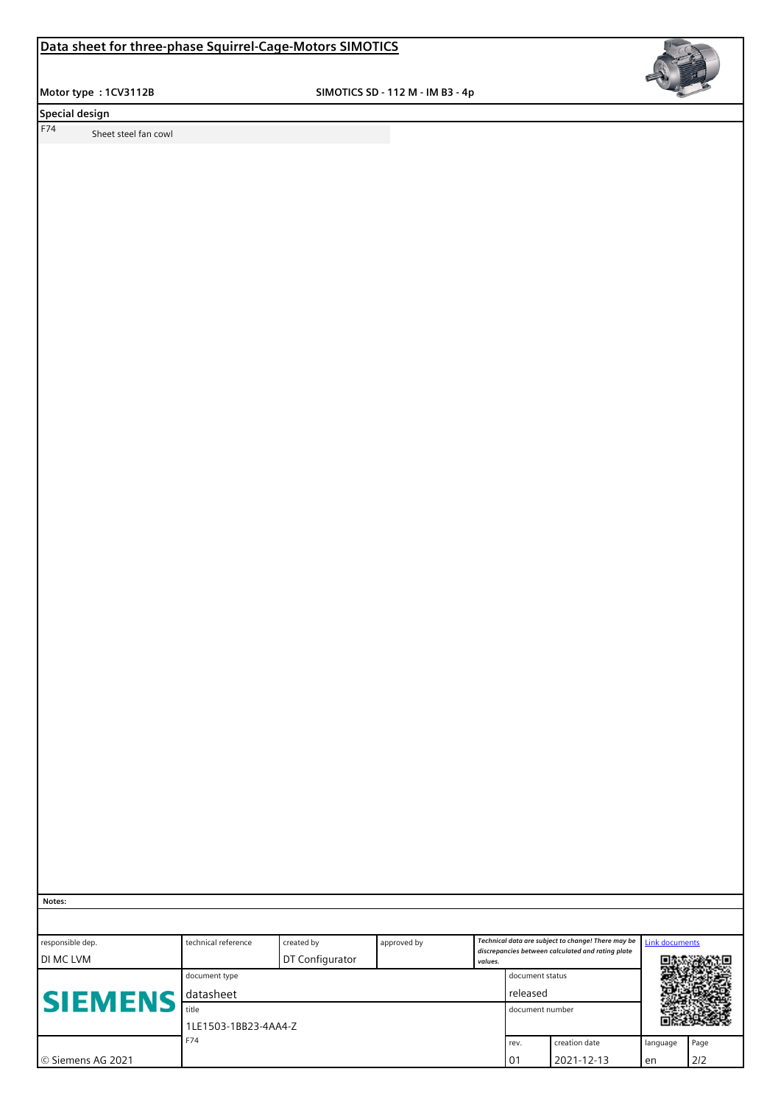**Motor type : 1CV3112B** SIMOTICS SD - 112 M - IM B3 - 4p



**Special design** 

F74 Sheet steel fan cowl

 **Notes:**

| responsible dep.<br><b>DI MC LVM</b> | technical reference  | created by<br>DT Configurator | approved by       | values. |    | Technical data are subject to change! There may be<br>discrepancies between calculated and rating plate | Link documents |      |  |
|--------------------------------------|----------------------|-------------------------------|-------------------|---------|----|---------------------------------------------------------------------------------------------------------|----------------|------|--|
|                                      | document type        |                               | document status   |         |    |                                                                                                         |                |      |  |
| <b>ISIEMENS</b>                      | l datasheet          |                               | released          |         |    |                                                                                                         |                |      |  |
|                                      | title                |                               | l document number |         |    |                                                                                                         |                |      |  |
|                                      | 1LE1503-1BB23-4AA4-Z |                               |                   |         |    |                                                                                                         |                |      |  |
| F74<br>rev.                          |                      |                               |                   |         |    | creation date                                                                                           | language       | Page |  |
| ∣© Siemens AG 2021                   |                      |                               |                   |         | 01 | 2021-12-13                                                                                              | en             | 2/2  |  |